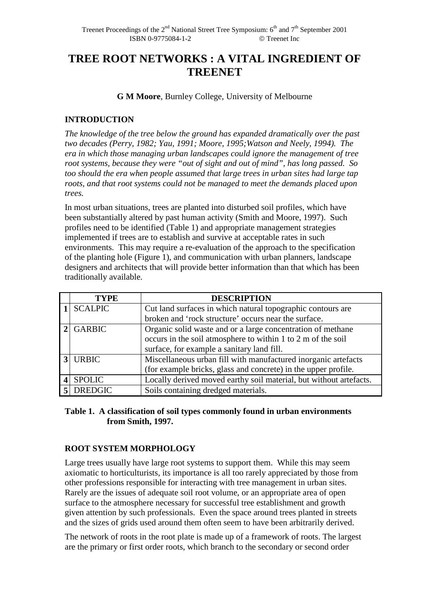# **TREE ROOT NETWORKS : A VITAL INGREDIENT OF TREENET**

**G M Moore**, Burnley College, University of Melbourne

# **INTRODUCTION**

*The knowledge of the tree below the ground has expanded dramatically over the past two decades (Perry, 1982; Yau, 1991; Moore, 1995;Watson and Neely, 1994). The era in which those managing urban landscapes could ignore the management of tree root systems, because they were "out of sight and out of mind", has long passed. So too should the era when people assumed that large trees in urban sites had large tap roots, and that root systems could not be managed to meet the demands placed upon trees.* 

In most urban situations, trees are planted into disturbed soil profiles, which have been substantially altered by past human activity (Smith and Moore, 1997). Such profiles need to be identified (Table 1) and appropriate management strategies implemented if trees are to establish and survive at acceptable rates in such environments. This may require a re-evaluation of the approach to the specification of the planting hole (Figure 1), and communication with urban planners, landscape designers and architects that will provide better information than that which has been traditionally available.

| <b>TYPE</b>    | <b>DESCRIPTION</b>                                                 |
|----------------|--------------------------------------------------------------------|
| <b>SCALPIC</b> | Cut land surfaces in which natural topographic contours are        |
|                | broken and 'rock structure' occurs near the surface.               |
| <b>GARBIC</b>  | Organic solid waste and or a large concentration of methane        |
|                | occurs in the soil atmosphere to within 1 to 2 m of the soil       |
|                | surface, for example a sanitary land fill.                         |
| <b>URBIC</b>   | Miscellaneous urban fill with manufactured inorganic artefacts     |
|                | (for example bricks, glass and concrete) in the upper profile.     |
| <b>SPOLIC</b>  | Locally derived moved earthy soil material, but without artefacts. |
| <b>DREDGIC</b> | Soils containing dredged materials.                                |

## **Table 1. A classification of soil types commonly found in urban environments from Smith, 1997.**

# **ROOT SYSTEM MORPHOLOGY**

Large trees usually have large root systems to support them. While this may seem axiomatic to horticulturists, its importance is all too rarely appreciated by those from other professions responsible for interacting with tree management in urban sites. Rarely are the issues of adequate soil root volume, or an appropriate area of open surface to the atmosphere necessary for successful tree establishment and growth given attention by such professionals. Even the space around trees planted in streets and the sizes of grids used around them often seem to have been arbitrarily derived.

The network of roots in the root plate is made up of a framework of roots. The largest are the primary or first order roots, which branch to the secondary or second order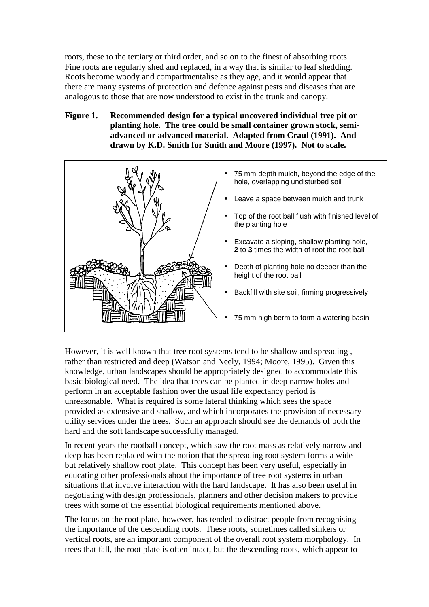roots, these to the tertiary or third order, and so on to the finest of absorbing roots. Fine roots are regularly shed and replaced, in a way that is similar to leaf shedding. Roots become woody and compartmentalise as they age, and it would appear that there are many systems of protection and defence against pests and diseases that are analogous to those that are now understood to exist in the trunk and canopy.

## **Figure 1. Recommended design for a typical uncovered individual tree pit or planting hole. The tree could be small container grown stock, semiadvanced or advanced material. Adapted from Craul (1991). And drawn by K.D. Smith for Smith and Moore (1997). Not to scale.**



However, it is well known that tree root systems tend to be shallow and spreading , rather than restricted and deep (Watson and Neely, 1994; Moore, 1995). Given this knowledge, urban landscapes should be appropriately designed to accommodate this basic biological need. The idea that trees can be planted in deep narrow holes and perform in an acceptable fashion over the usual life expectancy period is unreasonable. What is required is some lateral thinking which sees the space provided as extensive and shallow, and which incorporates the provision of necessary utility services under the trees. Such an approach should see the demands of both the hard and the soft landscape successfully managed.

In recent years the rootball concept, which saw the root mass as relatively narrow and deep has been replaced with the notion that the spreading root system forms a wide but relatively shallow root plate. This concept has been very useful, especially in educating other professionals about the importance of tree root systems in urban situations that involve interaction with the hard landscape. It has also been useful in negotiating with design professionals, planners and other decision makers to provide trees with some of the essential biological requirements mentioned above.

The focus on the root plate, however, has tended to distract people from recognising the importance of the descending roots. These roots, sometimes called sinkers or vertical roots, are an important component of the overall root system morphology. In trees that fall, the root plate is often intact, but the descending roots, which appear to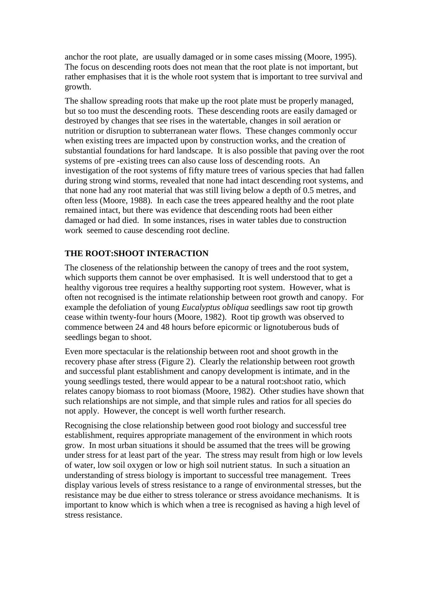anchor the root plate, are usually damaged or in some cases missing (Moore, 1995). The focus on descending roots does not mean that the root plate is not important, but rather emphasises that it is the whole root system that is important to tree survival and growth.

The shallow spreading roots that make up the root plate must be properly managed, but so too must the descending roots. These descending roots are easily damaged or destroyed by changes that see rises in the watertable, changes in soil aeration or nutrition or disruption to subterranean water flows. These changes commonly occur when existing trees are impacted upon by construction works, and the creation of substantial foundations for hard landscape. It is also possible that paving over the root systems of pre -existing trees can also cause loss of descending roots. An investigation of the root systems of fifty mature trees of various species that had fallen during strong wind storms, revealed that none had intact descending root systems, and that none had any root material that was still living below a depth of 0.5 metres, and often less (Moore, 1988). In each case the trees appeared healthy and the root plate remained intact, but there was evidence that descending roots had been either damaged or had died. In some instances, rises in water tables due to construction work seemed to cause descending root decline.

#### **THE ROOT:SHOOT INTERACTION**

The closeness of the relationship between the canopy of trees and the root system, which supports them cannot be over emphasised. It is well understood that to get a healthy vigorous tree requires a healthy supporting root system. However, what is often not recognised is the intimate relationship between root growth and canopy. For example the defoliation of young *Eucalyptus obliqua* seedlings saw root tip growth cease within twenty-four hours (Moore, 1982). Root tip growth was observed to commence between 24 and 48 hours before epicormic or lignotuberous buds of seedlings began to shoot.

Even more spectacular is the relationship between root and shoot growth in the recovery phase after stress (Figure 2). Clearly the relationship between root growth and successful plant establishment and canopy development is intimate, and in the young seedlings tested, there would appear to be a natural root:shoot ratio, which relates canopy biomass to root biomass (Moore, 1982). Other studies have shown that such relationships are not simple, and that simple rules and ratios for all species do not apply. However, the concept is well worth further research.

Recognising the close relationship between good root biology and successful tree establishment, requires appropriate management of the environment in which roots grow. In most urban situations it should be assumed that the trees will be growing under stress for at least part of the year. The stress may result from high or low levels of water, low soil oxygen or low or high soil nutrient status. In such a situation an understanding of stress biology is important to successful tree management. Trees display various levels of stress resistance to a range of environmental stresses, but the resistance may be due either to stress tolerance or stress avoidance mechanisms. It is important to know which is which when a tree is recognised as having a high level of stress resistance.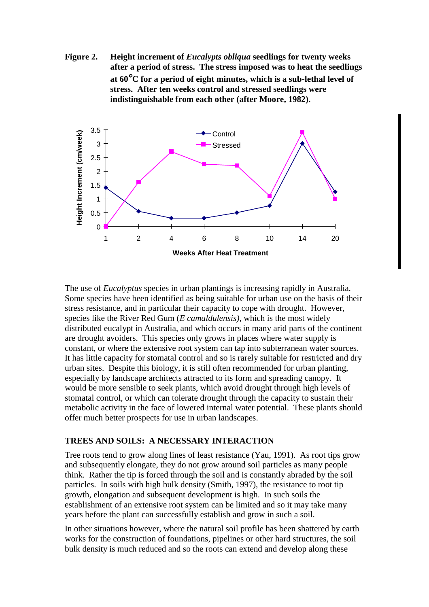**Figure 2. Height increment of** *Eucalypts obliqua* **seedlings for twenty weeks after a period of stress. The stress imposed was to heat the seedlings at 60**°**C for a period of eight minutes, which is a sub-lethal level of stress. After ten weeks control and stressed seedlings were indistinguishable from each other (after Moore, 1982).** 



The use of *Eucalyptus* species in urban plantings is increasing rapidly in Australia. Some species have been identified as being suitable for urban use on the basis of their stress resistance, and in particular their capacity to cope with drought. However, species like the River Red Gum (*E camaldulensis),* which is the most widely distributed eucalypt in Australia, and which occurs in many arid parts of the continent are drought avoiders. This species only grows in places where water supply is constant, or where the extensive root system can tap into subterranean water sources. It has little capacity for stomatal control and so is rarely suitable for restricted and dry urban sites. Despite this biology, it is still often recommended for urban planting, especially by landscape architects attracted to its form and spreading canopy. It would be more sensible to seek plants, which avoid drought through high levels of stomatal control, or which can tolerate drought through the capacity to sustain their metabolic activity in the face of lowered internal water potential. These plants should offer much better prospects for use in urban landscapes.

### **TREES AND SOILS: A NECESSARY INTERACTION**

Tree roots tend to grow along lines of least resistance (Yau, 1991). As root tips grow and subsequently elongate, they do not grow around soil particles as many people think. Rather the tip is forced through the soil and is constantly abraded by the soil particles. In soils with high bulk density (Smith, 1997), the resistance to root tip growth, elongation and subsequent development is high. In such soils the establishment of an extensive root system can be limited and so it may take many years before the plant can successfully establish and grow in such a soil.

In other situations however, where the natural soil profile has been shattered by earth works for the construction of foundations, pipelines or other hard structures, the soil bulk density is much reduced and so the roots can extend and develop along these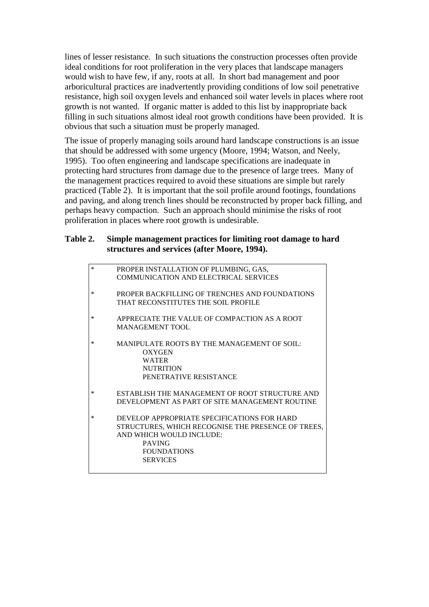lines of lesser resistance. In such situations the construction processes often provide ideal conditions for root proliferation in the very places that landscape managers would wish to have few, if any, roots at all. In short bad management and poor arboricultural practices are inadvertently providing conditions of low soil penetrative resistance, high soil oxygen levels and enhanced soil water levels in places where root growth is not wanted. If organic matter is added to this list by inappropriate back filling in such situations almost ideal root growth conditions have been provided. It is obvious that such a situation must be properly managed.

The issue of properly managing soils around hard landscape constructions is an issue that should be addressed with some urgency (Moore, 1994; Watson, and Neely, 1995). Too often engineering and landscape specifications are inadequate in protecting hard structures from damage due to the presence of large trees. Many of the management practices required to avoid these situations are simple but rarely practiced (Table 2). It is important that the soil profile around footings, foundations and paving, and along trench lines should be reconstructed by proper back filling, and perhaps heavy compaction. Such an approach should minimise the risks of root proliferation in places where root growth is undesirable.

## **Table 2. Simple management practices for limiting root damage to hard structures and services (after Moore, 1994).**

| $\ast$ | PROPER INSTALLATION OF PLUMBING, GAS,              |
|--------|----------------------------------------------------|
|        | COMMUNICATION AND ELECTRICAL SERVICES              |
| $\ast$ | PROPER BACKFILLING OF TRENCHES AND FOUNDATIONS     |
|        | THAT RECONSTITUTES THE SOIL PROFILE                |
| ∗      | APPRECIATE THE VALUE OF COMPACTION AS A ROOT       |
|        | <b>MANAGEMENT TOOL</b>                             |
| $\ast$ | MANIPULATE ROOTS BY THE MANAGEMENT OF SOIL:        |
|        | OXYGEN                                             |
|        | <b>WATER</b>                                       |
|        | <b>NUTRITION</b>                                   |
|        | PENETRATIVE RESISTANCE                             |
| ∗      | ESTABLISH THE MANAGEMENT OF ROOT STRUCTURE AND     |
|        | DEVELOPMENT AS PART OF SITE MANAGEMENT ROUTINE     |
| ∗      | DEVELOP APPROPRIATE SPECIFICATIONS FOR HARD        |
|        | STRUCTURES, WHICH RECOGNISE THE PRESENCE OF TREES, |
|        | AND WHICH WOULD INCLUDE:                           |
|        | <b>PAVING</b>                                      |
|        | <b>FOUNDATIONS</b>                                 |
|        | <b>SERVICES</b>                                    |
|        |                                                    |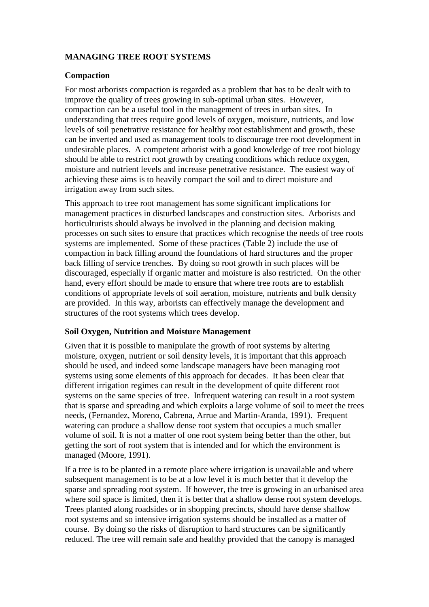# **MANAGING TREE ROOT SYSTEMS**

### **Compaction**

For most arborists compaction is regarded as a problem that has to be dealt with to improve the quality of trees growing in sub-optimal urban sites. However, compaction can be a useful tool in the management of trees in urban sites. In understanding that trees require good levels of oxygen, moisture, nutrients, and low levels of soil penetrative resistance for healthy root establishment and growth, these can be inverted and used as management tools to discourage tree root development in undesirable places. A competent arborist with a good knowledge of tree root biology should be able to restrict root growth by creating conditions which reduce oxygen, moisture and nutrient levels and increase penetrative resistance. The easiest way of achieving these aims is to heavily compact the soil and to direct moisture and irrigation away from such sites.

This approach to tree root management has some significant implications for management practices in disturbed landscapes and construction sites. Arborists and horticulturists should always be involved in the planning and decision making processes on such sites to ensure that practices which recognise the needs of tree roots systems are implemented. Some of these practices (Table 2) include the use of compaction in back filling around the foundations of hard structures and the proper back filling of service trenches. By doing so root growth in such places will be discouraged, especially if organic matter and moisture is also restricted. On the other hand, every effort should be made to ensure that where tree roots are to establish conditions of appropriate levels of soil aeration, moisture, nutrients and bulk density are provided. In this way, arborists can effectively manage the development and structures of the root systems which trees develop.

#### **Soil Oxygen, Nutrition and Moisture Management**

Given that it is possible to manipulate the growth of root systems by altering moisture, oxygen, nutrient or soil density levels, it is important that this approach should be used, and indeed some landscape managers have been managing root systems using some elements of this approach for decades. It has been clear that different irrigation regimes can result in the development of quite different root systems on the same species of tree. Infrequent watering can result in a root system that is sparse and spreading and which exploits a large volume of soil to meet the trees needs, (Fernandez, Moreno, Cabrena, Arrue and Martin-Aranda, 1991). Frequent watering can produce a shallow dense root system that occupies a much smaller volume of soil. It is not a matter of one root system being better than the other, but getting the sort of root system that is intended and for which the environment is managed (Moore, 1991).

If a tree is to be planted in a remote place where irrigation is unavailable and where subsequent management is to be at a low level it is much better that it develop the sparse and spreading root system. If however, the tree is growing in an urbanised area where soil space is limited, then it is better that a shallow dense root system develops. Trees planted along roadsides or in shopping precincts, should have dense shallow root systems and so intensive irrigation systems should be installed as a matter of course. By doing so the risks of disruption to hard structures can be significantly reduced. The tree will remain safe and healthy provided that the canopy is managed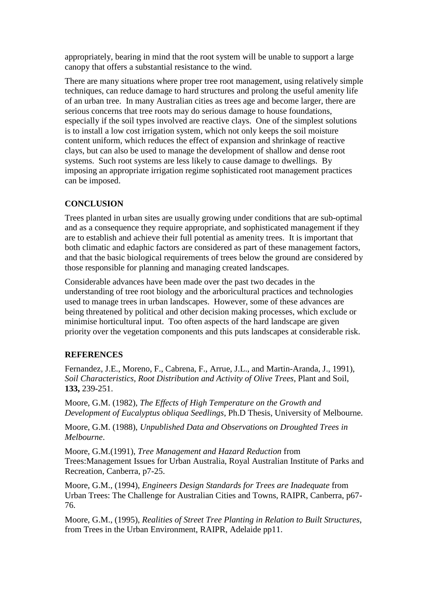appropriately, bearing in mind that the root system will be unable to support a large canopy that offers a substantial resistance to the wind.

There are many situations where proper tree root management, using relatively simple techniques, can reduce damage to hard structures and prolong the useful amenity life of an urban tree. In many Australian cities as trees age and become larger, there are serious concerns that tree roots may do serious damage to house foundations, especially if the soil types involved are reactive clays. One of the simplest solutions is to install a low cost irrigation system, which not only keeps the soil moisture content uniform, which reduces the effect of expansion and shrinkage of reactive clays, but can also be used to manage the development of shallow and dense root systems. Such root systems are less likely to cause damage to dwellings. By imposing an appropriate irrigation regime sophisticated root management practices can be imposed.

# **CONCLUSION**

Trees planted in urban sites are usually growing under conditions that are sub-optimal and as a consequence they require appropriate, and sophisticated management if they are to establish and achieve their full potential as amenity trees. It is important that both climatic and edaphic factors are considered as part of these management factors, and that the basic biological requirements of trees below the ground are considered by those responsible for planning and managing created landscapes.

Considerable advances have been made over the past two decades in the understanding of tree root biology and the arboricultural practices and technologies used to manage trees in urban landscapes. However, some of these advances are being threatened by political and other decision making processes, which exclude or minimise horticultural input. Too often aspects of the hard landscape are given priority over the vegetation components and this puts landscapes at considerable risk.

# **REFERENCES**

Fernandez, J.E., Moreno, F., Cabrena, F., Arrue, J.L., and Martin-Aranda, J., 1991), *Soil Characteristics, Root Distribution and Activity of Olive Trees*, Plant and Soil, **133,** 239-251.

Moore, G.M. (1982), *The Effects of High Temperature on the Growth and Development of Eucalyptus obliqua Seedlings*, Ph.D Thesis, University of Melbourne.

Moore, G.M. (1988), *Unpublished Data and Observations on Droughted Trees in Melbourne*.

Moore, G.M.(1991), *Tree Management and Hazard Reduction* from Trees:Management Issues for Urban Australia, Royal Australian Institute of Parks and Recreation, Canberra, p7-25.

Moore, G.M., (1994), *Engineers Design Standards for Trees are Inadequate* from Urban Trees: The Challenge for Australian Cities and Towns, RAIPR, Canberra, p67- 76.

Moore, G.M., (1995), *Realities of Street Tree Planting in Relation to Built Structures*, from Trees in the Urban Environment, RAIPR, Adelaide pp11.